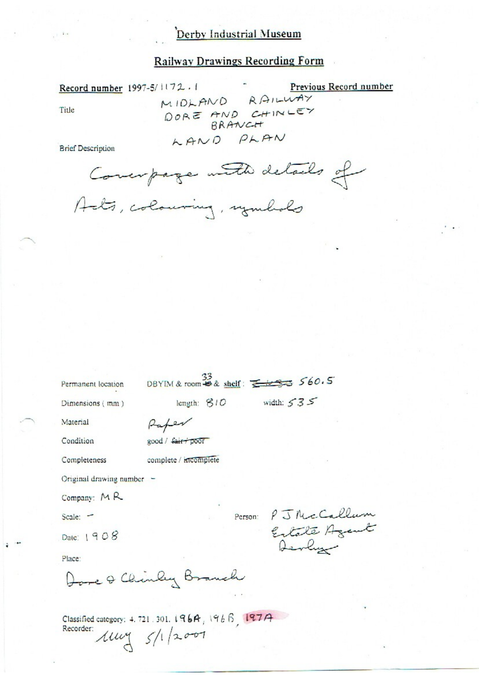## Derby Industrial Museum

### **Railway Drawings Recording Form**

Record number 1997-5/1172.1 Previous Record number RAILWAY MIDLAND DORE AND CHINLEY Title BRANCH LAND PLAN **Brief Description** Compage with details of

Acts, colouring, symbols

DBYIM & room  $\overset{33}{\bullet}$  & shelf:  $\underset{\longleftarrow}{\underbrace{\longrightarrow}}$  560.5

Permanent location Dimensions (mm)

width:  $535$ length:  $810$ 

Material

Raper good / fair poor

Condition

Completeness

complete / incomplete

Original drawing number -

Company: MR

Scale: -

Date: 1908

Place:

Dore & Chinley Branch

Person: PJNcCallum Estate Agent

Classified category: 4.721.301.196A, 1966, 197A Recorder:  $\mu$   $\frac{1}{\sqrt{1}}$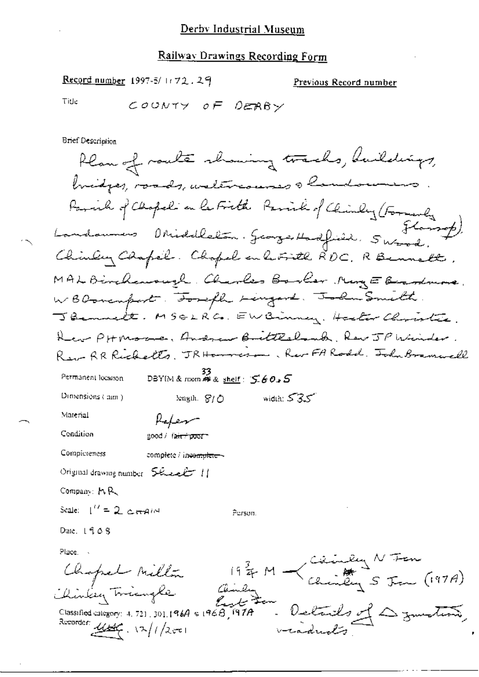#### Railway Drawings Recording Form

Record number 1997-5/1172.29

Previous Record number

Title

COUNTY OF DERBY

**Brief Description** 

Plan of route showing tracks, buildings, bridges, roads, watercourses a landow Paral of Chopel on le Fieth Paraik of Chinley (Formerly Landounes Obideletan, Georges Hadfield, Swand, Chinley Chapel. Chopel en le Fith RDC. R Bennett. MAL Birchanough. Charles Booker MingE Beardmore. WBDovemport . Tought Lingers. John Smith. JBennett. MSGLRC. EWBinney. Haster Christie. Her PHMoore, Andrew Buittesbank, Rev JP Winder Rew AR Richardts. JRHammeron, Rev FA Road, John Bramwell SS<br>DBYIM & nom 神水 shelf: 560,5 Permanent location. Dimensions (mm) width:  $535$ length,  $S/O$ Material Refer Condition good / fair + poor = Compicteness complete / incomplete -Original drawing number  $5k$  extended  $11$ Company: MR Scale:  $1'' = 2$  detection Person. Date,  $1408$ Place - $19\frac{2}{4}$  M  $\rightarrow$  Ceimberg N Tam<br>19  $\frac{2}{4}$  M  $\rightarrow$  Christing S Tam (197A) Chopel Millin Details of Dymeting Chinkey Toriangle Classified category: 4, 721, 301, 1964 & 1968, 1978 Recorder User. 12/1/2001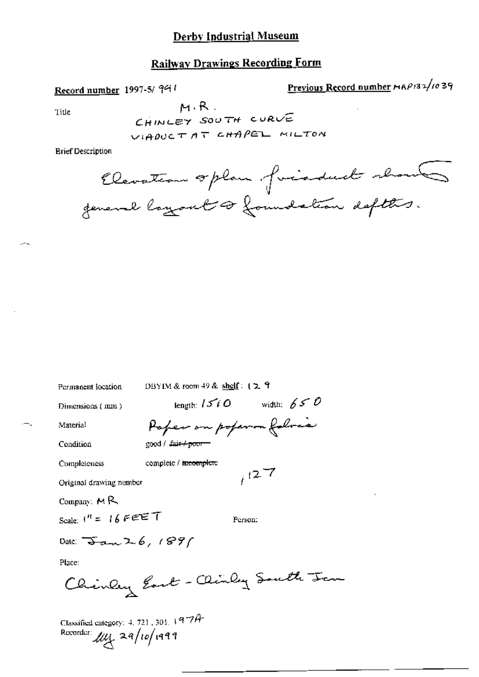### **Derby Industrial Museum**

# **Railway Drawings Recording Form**

Record number 1997-5/941

Previous Record number MAP132/1039

Title

 $M, R$ . CHINLEY SOUTH CURVE VIADUCTAT CHAPEL MILTON

**Brief Description** 

Elevation oplan forcadual shows general layout of foundation defters.

Permanent location

DBYIM & room 49 & shelf: 12 9

Dimensions (mm)

length:  $1510$  width:  $650$ Paper on poperon foloca

Material

Condition

good / Luis+poor-

complete / incomplete

Completeness

Original drawing number

Company:  $M$ <sup>R</sup>

Scale:  $1^{\prime\prime}$  = 16 FEET

Person:

 $127$ 

Date:  $\frac{1}{3}$  and  $2.6$ , 1891

Place:

Chinley East - Clindy South Jan

Classified category: 4, 721, 301, 197A Recorder:  $\mu$  $\mu$  29/10/1999